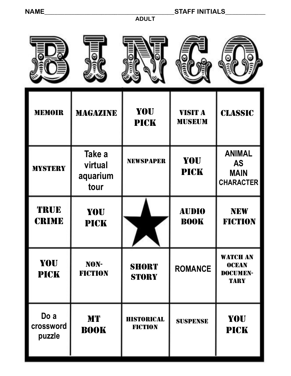# **NAME\_\_\_\_\_\_\_\_\_\_\_\_\_\_\_\_\_\_\_\_\_\_\_\_\_\_\_\_\_\_\_\_\_\_\_\_\_\_\_STAFF INITIALS\_\_\_\_\_\_\_\_\_\_\_\_**

**ADULT**

| <b>MEMOIR</b>               | <b>MAGAZINE</b>                       | <b>YOU</b><br><b>PICK</b>           | <b>VISIT A</b><br><b>MUSEUM</b> | <b>CLASSIC</b>                                                |
|-----------------------------|---------------------------------------|-------------------------------------|---------------------------------|---------------------------------------------------------------|
| <b>MYSTERY</b>              | Take a<br>virtual<br>aquarium<br>tour | <b>NEWSPAPER</b>                    | <b>YOU</b><br><b>PICK</b>       | <b>ANIMAL</b><br><b>AS</b><br><b>MAIN</b><br><b>CHARACTER</b> |
| TRUE<br><b>CRIME</b>        | YOU<br><b>PICK</b>                    | ▸<br>◥                              | <b>AUDIO</b><br><b>BOOK</b>     | <b>NEW</b><br><b>FICTION</b>                                  |
| YOU<br><b>PICK</b>          | NON-<br><b>FICTION</b>                | <b>SHORT</b><br><b>STORY</b>        | <b>ROMANCE</b>                  | <b>WATCH AN</b><br><b>OCEAN</b><br>DOCUMEN-<br><b>TARY</b>    |
| Do a<br>crossword<br>puzzle | <b>M'I'</b><br><b>BOOK</b>            | <b>HISTORICAL</b><br><b>FICTION</b> | <b>SUSPENSE</b>                 | YOU<br><b>PICK</b>                                            |